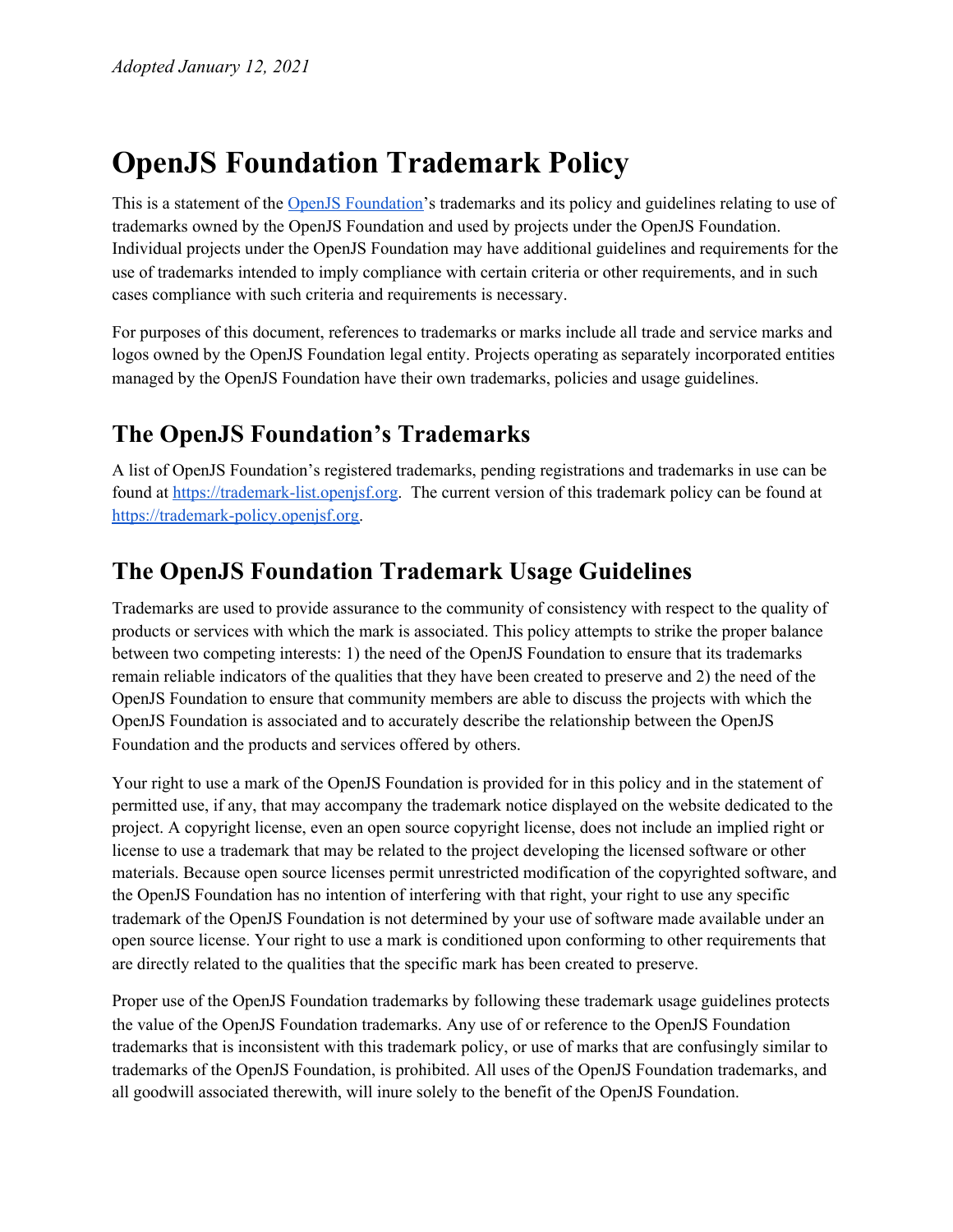# **OpenJS Foundation Trademark Policy**

This is a statement of the OpenJS [Foundation'](https://openjsf.org/)s trademarks and its policy and guidelines relating to use of trademarks owned by the OpenJS Foundation and used by projects under the OpenJS Foundation. Individual projects under the OpenJS Foundation may have additional guidelines and requirements for the use of trademarks intended to imply compliance with certain criteria or other requirements, and in such cases compliance with such criteria and requirements is necessary.

For purposes of this document, references to trademarks or marks include all trade and service marks and logos owned by the OpenJS Foundation legal entity. Projects operating as separately incorporated entities managed by the OpenJS Foundation have their own trademarks, policies and usage guidelines.

## **The OpenJS Foundation's Trademarks**

A list of OpenJS Foundation's registered trademarks, pending registrations and trademarks in use can be found at [https://trademark-list.openjsf.org.](https://trademark-list.openjsf.org/) The current version of this trademark policy can be found at [https://trademark-policy.openjsf.org.](https://trademark-policy.openjsf.org/)

#### **The OpenJS Foundation Trademark Usage Guidelines**

Trademarks are used to provide assurance to the community of consistency with respect to the quality of products or services with which the mark is associated. This policy attempts to strike the proper balance between two competing interests: 1) the need of the OpenJS Foundation to ensure that its trademarks remain reliable indicators of the qualities that they have been created to preserve and 2) the need of the OpenJS Foundation to ensure that community members are able to discuss the projects with which the OpenJS Foundation is associated and to accurately describe the relationship between the OpenJS Foundation and the products and services offered by others.

Your right to use a mark of the OpenJS Foundation is provided for in this policy and in the statement of permitted use, if any, that may accompany the trademark notice displayed on the website dedicated to the project. A copyright license, even an open source copyright license, does not include an implied right or license to use a trademark that may be related to the project developing the licensed software or other materials. Because open source licenses permit unrestricted modification of the copyrighted software, and the OpenJS Foundation has no intention of interfering with that right, your right to use any specific trademark of the OpenJS Foundation is not determined by your use of software made available under an open source license. Your right to use a mark is conditioned upon conforming to other requirements that are directly related to the qualities that the specific mark has been created to preserve.

Proper use of the OpenJS Foundation trademarks by following these trademark usage guidelines protects the value of the OpenJS Foundation trademarks. Any use of or reference to the OpenJS Foundation trademarks that is inconsistent with this trademark policy, or use of marks that are confusingly similar to trademarks of the OpenJS Foundation, is prohibited. All uses of the OpenJS Foundation trademarks, and all goodwill associated therewith, will inure solely to the benefit of the OpenJS Foundation.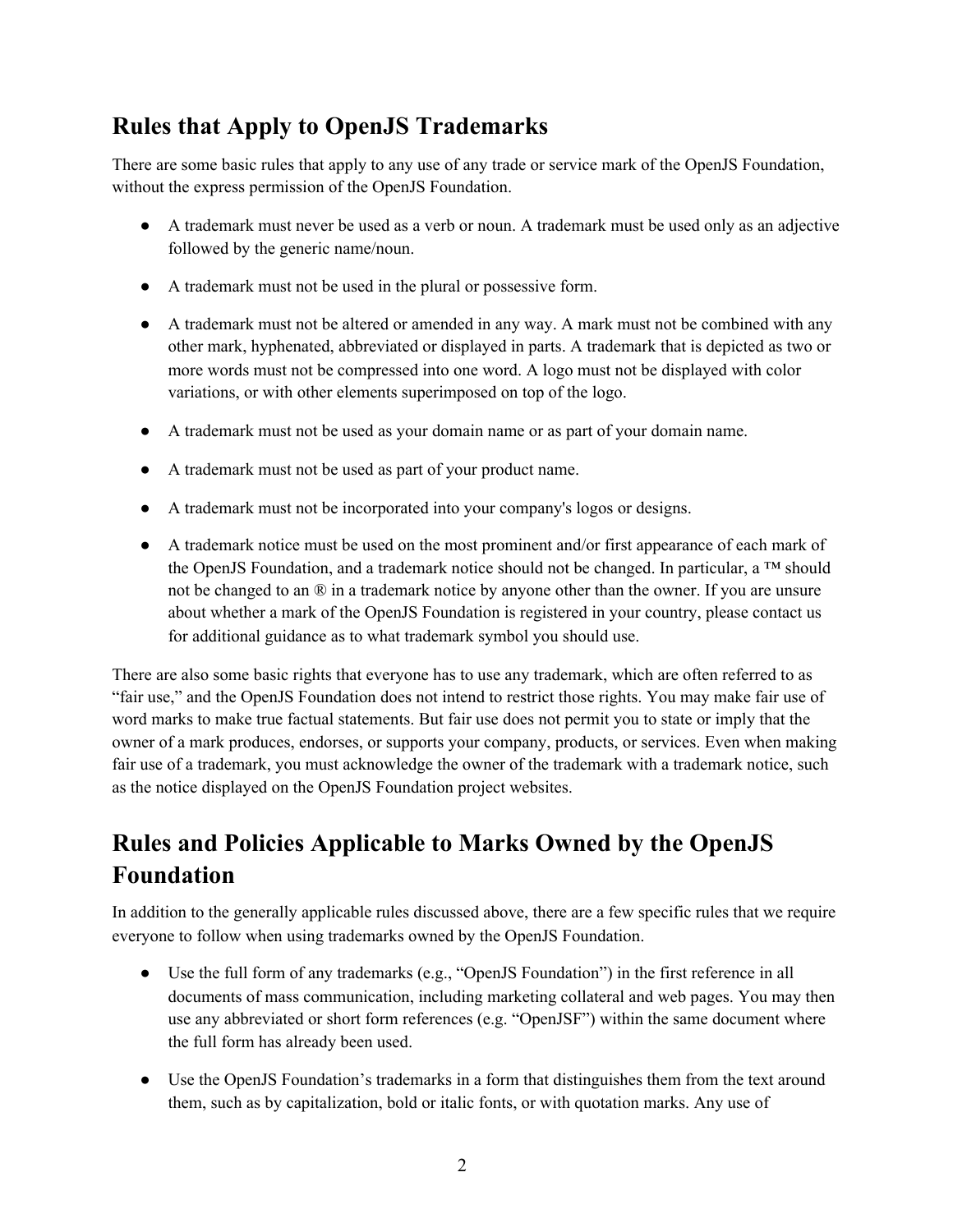## **Rules that Apply to OpenJS Trademarks**

There are some basic rules that apply to any use of any trade or service mark of the OpenJS Foundation, without the express permission of the OpenJS Foundation.

- A trademark must never be used as a verb or noun. A trademark must be used only as an adjective followed by the generic name/noun.
- A trademark must not be used in the plural or possessive form.
- A trademark must not be altered or amended in any way. A mark must not be combined with any other mark, hyphenated, abbreviated or displayed in parts. A trademark that is depicted as two or more words must not be compressed into one word. A logo must not be displayed with color variations, or with other elements superimposed on top of the logo.
- A trademark must not be used as your domain name or as part of your domain name.
- A trademark must not be used as part of your product name.
- A trademark must not be incorporated into your company's logos or designs.
- A trademark notice must be used on the most prominent and/or first appearance of each mark of the OpenJS Foundation, and a trademark notice should not be changed. In particular, a ™ should not be changed to an  $\mathbb{R}$  in a trademark notice by anyone other than the owner. If you are unsure about whether a mark of the OpenJS Foundation is registered in your country, please contact us for additional guidance as to what trademark symbol you should use.

There are also some basic rights that everyone has to use any trademark, which are often referred to as "fair use," and the OpenJS Foundation does not intend to restrict those rights. You may make fair use of word marks to make true factual statements. But fair use does not permit you to state or imply that the owner of a mark produces, endorses, or supports your company, products, or services. Even when making fair use of a trademark, you must acknowledge the owner of the trademark with a trademark notice, such as the notice displayed on the OpenJS Foundation project websites.

# **Rules and Policies Applicable to Marks Owned by the OpenJS Foundation**

In addition to the generally applicable rules discussed above, there are a few specific rules that we require everyone to follow when using trademarks owned by the OpenJS Foundation.

- Use the full form of any trademarks (e.g., "OpenJS Foundation") in the first reference in all documents of mass communication, including marketing collateral and web pages. You may then use any abbreviated or short form references (e.g. "OpenJSF") within the same document where the full form has already been used.
- Use the OpenJS Foundation's trademarks in a form that distinguishes them from the text around them, such as by capitalization, bold or italic fonts, or with quotation marks. Any use of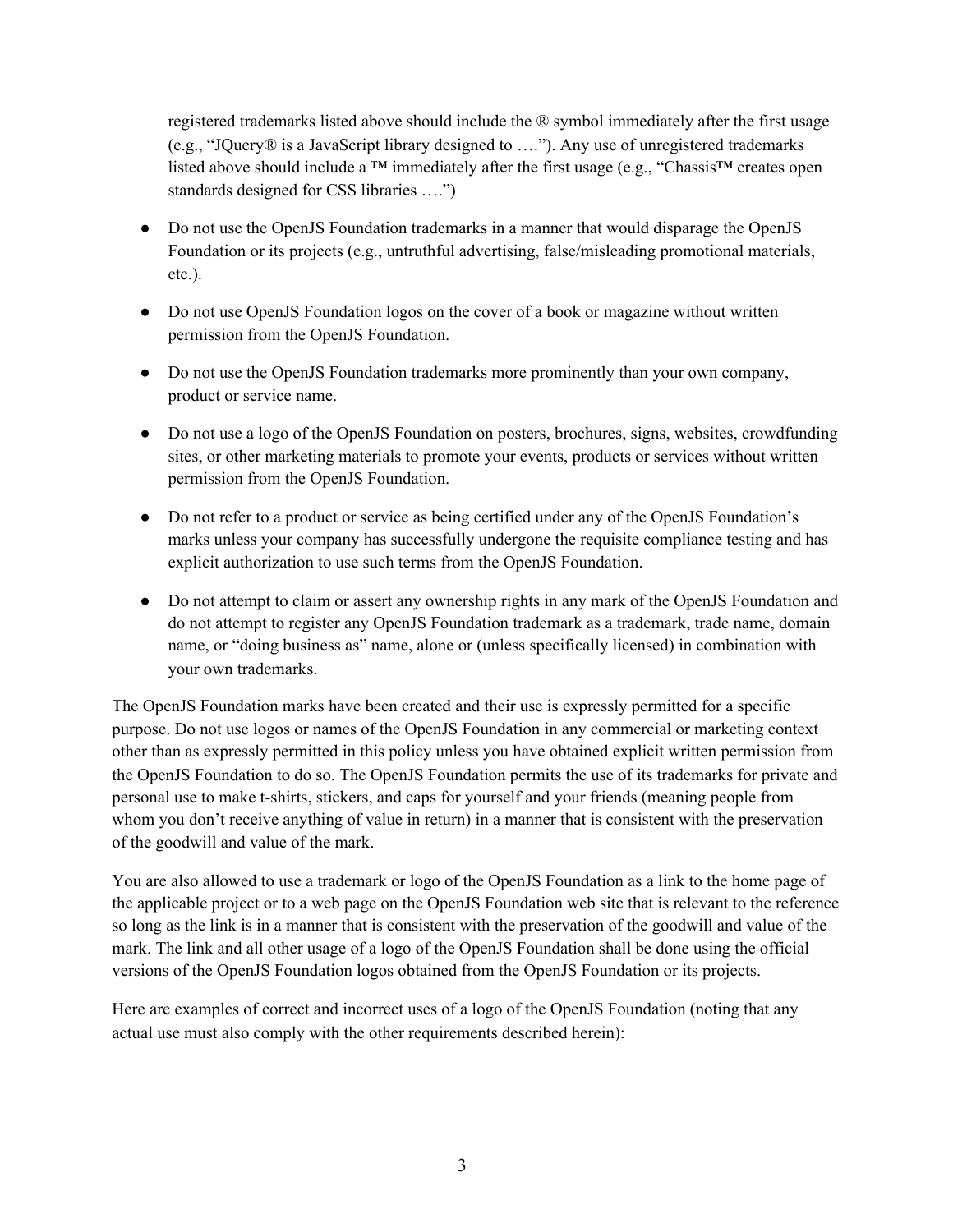registered trademarks listed above should include the ® symbol immediately after the first usage (e.g., "JQuery® is a JavaScript library designed to …."). Any use of unregistered trademarks listed above should include a <sup>™</sup> immediately after the first usage (e.g., "Chassis™ creates open standards designed for CSS libraries ….")

- Do not use the OpenJS Foundation trademarks in a manner that would disparage the OpenJS Foundation or its projects (e.g., untruthful advertising, false/misleading promotional materials, etc.).
- Do not use OpenJS Foundation logos on the cover of a book or magazine without written permission from the OpenJS Foundation.
- Do not use the OpenJS Foundation trademarks more prominently than your own company, product or service name.
- Do not use a logo of the OpenJS Foundation on posters, brochures, signs, websites, crowdfunding sites, or other marketing materials to promote your events, products or services without written permission from the OpenJS Foundation.
- Do not refer to a product or service as being certified under any of the OpenJS Foundation's marks unless your company has successfully undergone the requisite compliance testing and has explicit authorization to use such terms from the OpenJS Foundation.
- Do not attempt to claim or assert any ownership rights in any mark of the OpenJS Foundation and do not attempt to register any OpenJS Foundation trademark as a trademark, trade name, domain name, or "doing business as" name, alone or (unless specifically licensed) in combination with your own trademarks.

The OpenJS Foundation marks have been created and their use is expressly permitted for a specific purpose. Do not use logos or names of the OpenJS Foundation in any commercial or marketing context other than as expressly permitted in this policy unless you have obtained explicit written permission from the OpenJS Foundation to do so. The OpenJS Foundation permits the use of its trademarks for private and personal use to make t-shirts, stickers, and caps for yourself and your friends (meaning people from whom you don't receive anything of value in return) in a manner that is consistent with the preservation of the goodwill and value of the mark.

You are also allowed to use a trademark or logo of the OpenJS Foundation as a link to the home page of the applicable project or to a web page on the OpenJS Foundation web site that is relevant to the reference so long as the link is in a manner that is consistent with the preservation of the goodwill and value of the mark. The link and all other usage of a logo of the OpenJS Foundation shall be done using the official versions of the OpenJS Foundation logos obtained from the OpenJS Foundation or its projects.

Here are examples of correct and incorrect uses of a logo of the OpenJS Foundation (noting that any actual use must also comply with the other requirements described herein):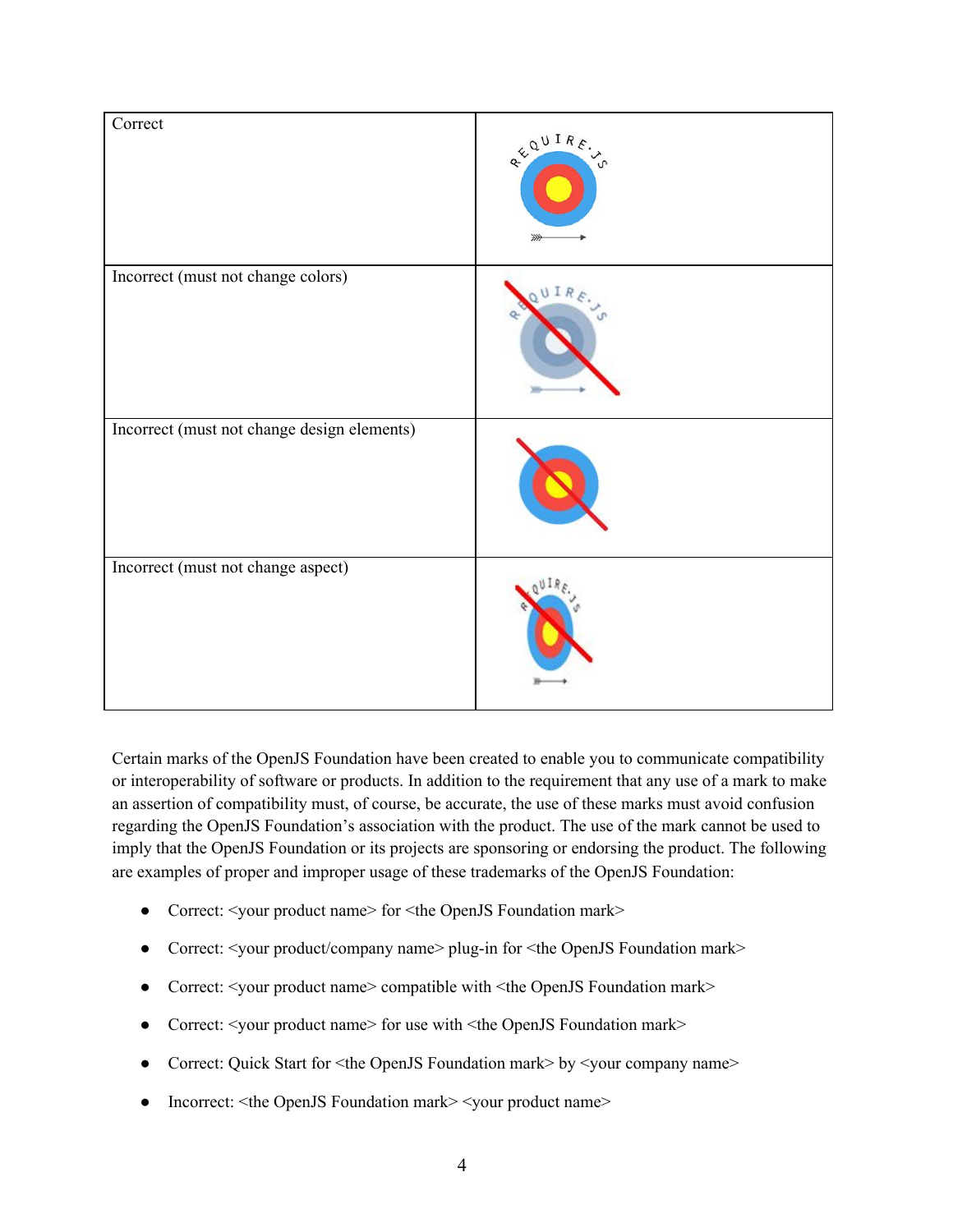| Correct                                     | REQUIRE. |
|---------------------------------------------|----------|
| Incorrect (must not change colors)          | ΙR       |
| Incorrect (must not change design elements) |          |
| Incorrect (must not change aspect)          |          |

Certain marks of the OpenJS Foundation have been created to enable you to communicate compatibility or interoperability of software or products. In addition to the requirement that any use of a mark to make an assertion of compatibility must, of course, be accurate, the use of these marks must avoid confusion regarding the OpenJS Foundation's association with the product. The use of the mark cannot be used to imply that the OpenJS Foundation or its projects are sponsoring or endorsing the product. The following are examples of proper and improper usage of these trademarks of the OpenJS Foundation:

- Correct: <your product name> for <the OpenJS Foundation mark>
- Correct: <your product/company name> plug-in for <the OpenJS Foundation mark>
- Correct: <your product name> compatible with <the OpenJS Foundation mark>
- Correct: <your product name> for use with <the OpenJS Foundation mark>
- Correct: Quick Start for <the OpenJS Foundation mark> by <your company name>
- Incorrect: <the OpenJS Foundation mark> <your product name>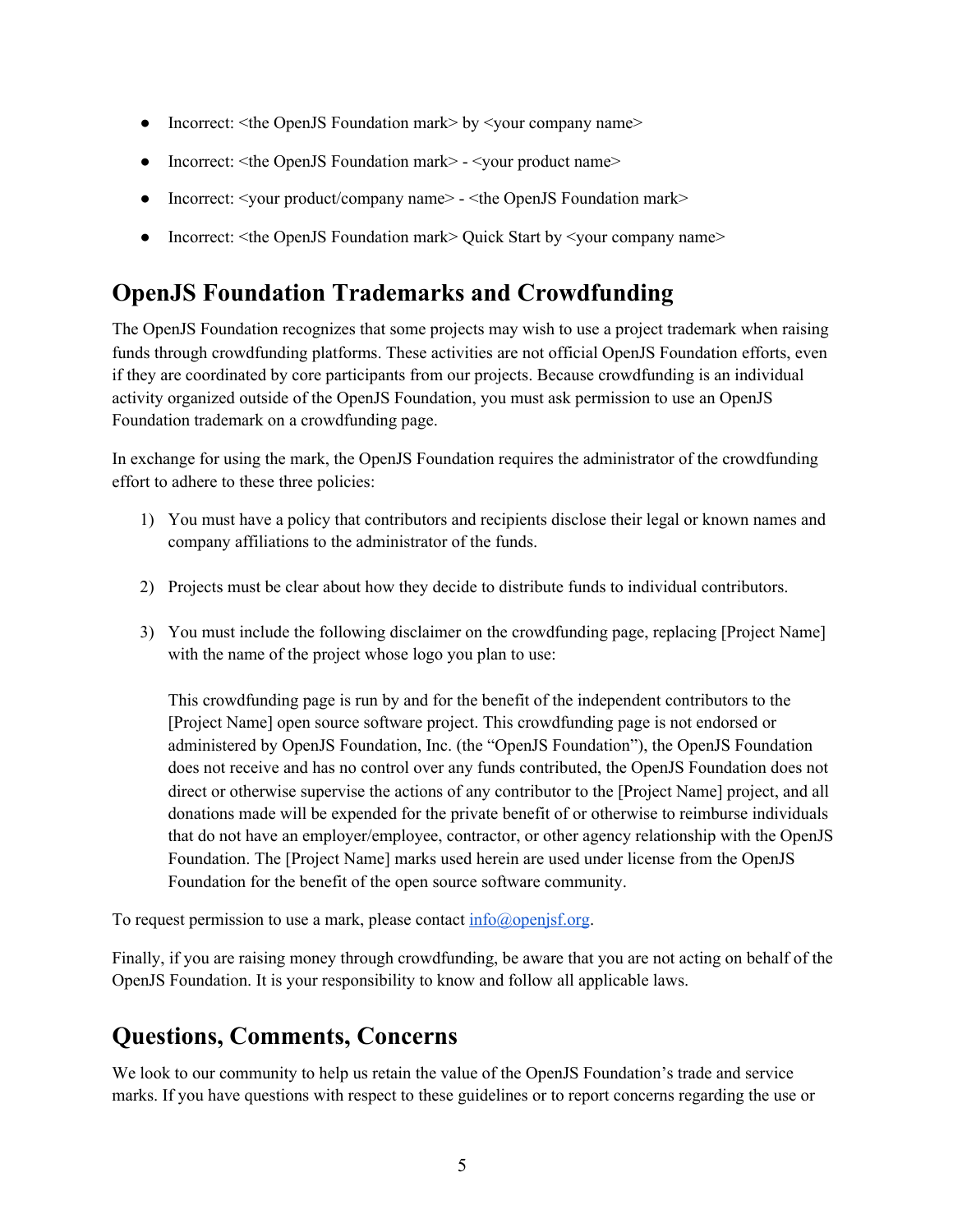- Incorrect: <the OpenJS Foundation mark> by <your company name>
- Incorrect: <the OpenJS Foundation mark> <your product name>
- Incorrect: <your product/company name> <the OpenJS Foundation mark>
- Incorrect: <the OpenJS Foundation mark> Quick Start by <your company name>

#### **OpenJS Foundation Trademarks and Crowdfunding**

The OpenJS Foundation recognizes that some projects may wish to use a project trademark when raising funds through crowdfunding platforms. These activities are not official OpenJS Foundation efforts, even if they are coordinated by core participants from our projects. Because crowdfunding is an individual activity organized outside of the OpenJS Foundation, you must ask permission to use an OpenJS Foundation trademark on a crowdfunding page.

In exchange for using the mark, the OpenJS Foundation requires the administrator of the crowdfunding effort to adhere to these three policies:

- 1) You must have a policy that contributors and recipients disclose their legal or known names and company affiliations to the administrator of the funds.
- 2) Projects must be clear about how they decide to distribute funds to individual contributors.
- 3) You must include the following disclaimer on the crowdfunding page, replacing [Project Name] with the name of the project whose logo you plan to use:

This crowdfunding page is run by and for the benefit of the independent contributors to the [Project Name] open source software project. This crowdfunding page is not endorsed or administered by OpenJS Foundation, Inc. (the "OpenJS Foundation"), the OpenJS Foundation does not receive and has no control over any funds contributed, the OpenJS Foundation does not direct or otherwise supervise the actions of any contributor to the [Project Name] project, and all donations made will be expended for the private benefit of or otherwise to reimburse individuals that do not have an employer/employee, contractor, or other agency relationship with the OpenJS Foundation. The [Project Name] marks used herein are used under license from the OpenJS Foundation for the benefit of the open source software community.

To request permission to use a mark, please contact  $info(\hat{a})$  open is f.org.

Finally, if you are raising money through crowdfunding, be aware that you are not acting on behalf of the OpenJS Foundation. It is your responsibility to know and follow all applicable laws.

## **Questions, Comments, Concerns**

We look to our community to help us retain the value of the OpenJS Foundation's trade and service marks. If you have questions with respect to these guidelines or to report concerns regarding the use or